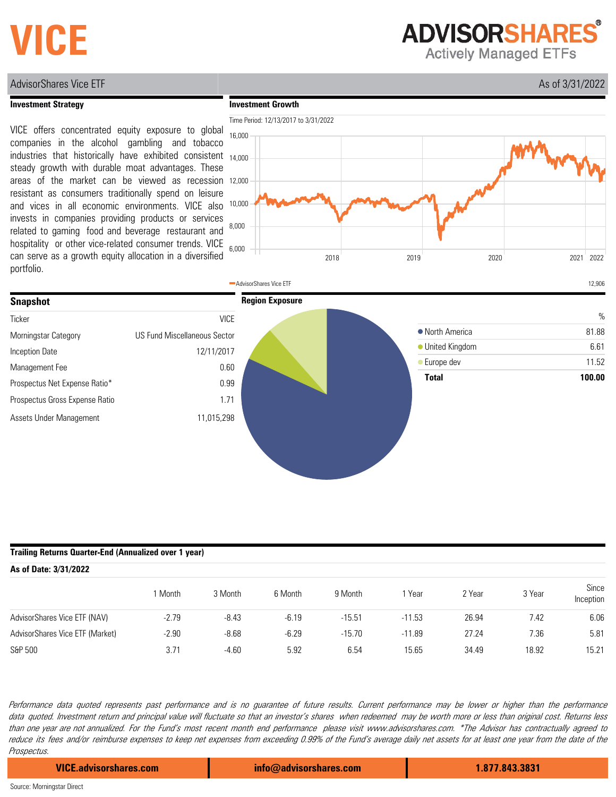# **VICE**

**ADVISORSHARES** 

**Actively Managed ETFs** 

#### AdvisorShares Vice ETF As a structure of the structure of the structure of the structure of the As of 3/31/2022

#### **Investment Strategy**

**Investment Growth**

VICE offers concentrated equity exposure to global companies in the alcohol gambling and tobacco industries that historically have exhibited consistent steady growth with durable moat advantages. These areas of the market can be viewed as recession resistant as consumers traditionally spend on leisure and vices in all economic environments. VICE also invests in companies providing products or services related to gaming food and beverage restaurant and hospitality or other vice-related consumer trends. VICE can serve as a growth equity allocation in a diversified portfolio.





#### **Trailing Returns Quarter-End (Annualized over 1 year)**

| As of Date: 3/31/2022           |         |         |         |          |          |        |        |                    |
|---------------------------------|---------|---------|---------|----------|----------|--------|--------|--------------------|
|                                 | I Month | 3 Month | 6 Month | 9 Month  | Year     | 2 Year | 3 Year | Since<br>Inception |
| AdvisorShares Vice ETF (NAV)    | $-2.79$ | $-8.43$ | $-6.19$ | $-15.51$ | $-11.53$ | 26.94  | 7.42   | 6.06               |
| AdvisorShares Vice ETF (Market) | $-2.90$ | $-8.68$ | $-6.29$ | $-15.70$ | $-11.89$ | 27.24  | 7.36   | 5.81               |
| S&P 500                         | 3.71    | $-4.60$ | 5.92    | 6.54     | 15.65    | 34.49  | 18.92  | 15.21              |

Performance data quoted represents past performance and is no guarantee of future results. Current performance may be lower or higher than the performance data quoted. Investment return and principal value will fluctuate so that an investor's shares when redeemed may be worth more or less than original cost. Returns less than one year are not annualized. For the Fund's most recent month end performance please visit www.advisorshares.com. \*The Advisor has contractually agreed to reduce its fees and/or reimburse expenses to keep net expenses from exceeding 0.99% of the Fund's average daily net assets for at least one year from the date of the Prospectus.